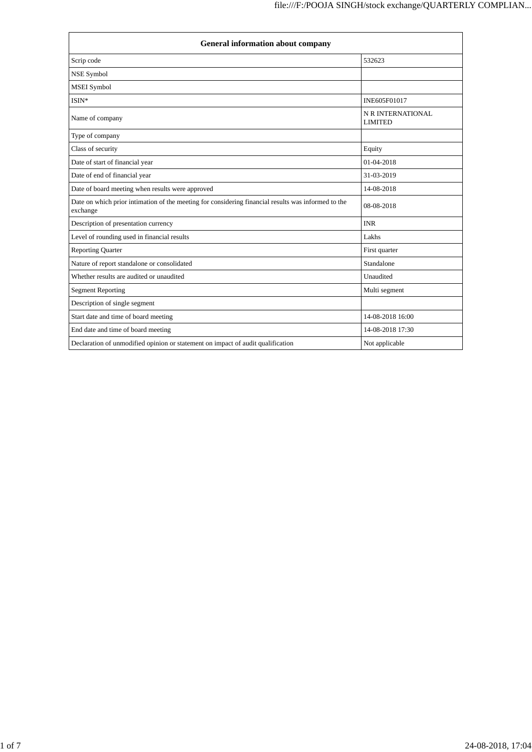| <b>General information about company</b>                                                                        |                                     |  |
|-----------------------------------------------------------------------------------------------------------------|-------------------------------------|--|
| Scrip code                                                                                                      | 532623                              |  |
| NSE Symbol                                                                                                      |                                     |  |
| <b>MSEI</b> Symbol                                                                                              |                                     |  |
| ISIN*                                                                                                           | INE605F01017                        |  |
| Name of company                                                                                                 | N R INTERNATIONAL<br><b>LIMITED</b> |  |
| Type of company                                                                                                 |                                     |  |
| Class of security                                                                                               | Equity                              |  |
| Date of start of financial year                                                                                 | 01-04-2018                          |  |
| Date of end of financial year                                                                                   | 31-03-2019                          |  |
| Date of board meeting when results were approved                                                                | 14-08-2018                          |  |
| Date on which prior intimation of the meeting for considering financial results was informed to the<br>exchange | 08-08-2018                          |  |
| Description of presentation currency                                                                            | <b>INR</b>                          |  |
| Level of rounding used in financial results                                                                     | Lakhs                               |  |
| <b>Reporting Quarter</b>                                                                                        | First quarter                       |  |
| Nature of report standalone or consolidated                                                                     | Standalone                          |  |
| Whether results are audited or unaudited                                                                        | Unaudited                           |  |
| <b>Segment Reporting</b>                                                                                        | Multi segment                       |  |
| Description of single segment                                                                                   |                                     |  |
| Start date and time of board meeting                                                                            | 14-08-2018 16:00                    |  |
| End date and time of board meeting                                                                              | 14-08-2018 17:30                    |  |
| Declaration of unmodified opinion or statement on impact of audit qualification                                 | Not applicable                      |  |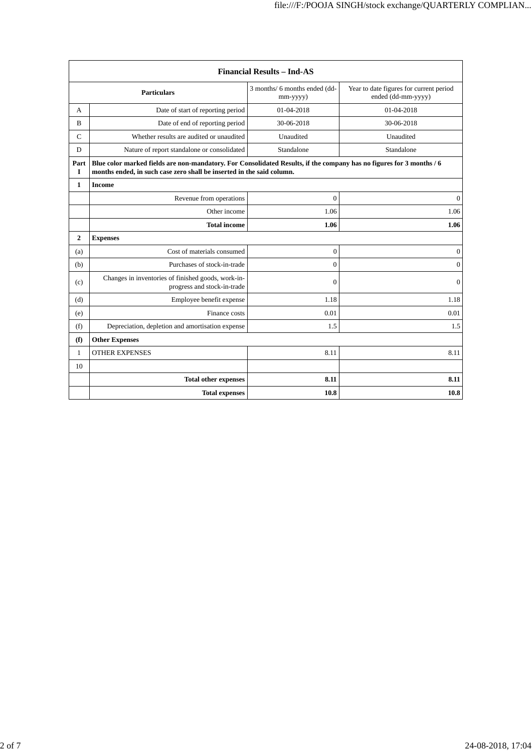| <b>Financial Results - Ind-AS</b> |                                                                                                                                                                                               |                                           |                                                               |
|-----------------------------------|-----------------------------------------------------------------------------------------------------------------------------------------------------------------------------------------------|-------------------------------------------|---------------------------------------------------------------|
| <b>Particulars</b>                |                                                                                                                                                                                               | 3 months/ 6 months ended (dd-<br>mm-yyyy) | Year to date figures for current period<br>ended (dd-mm-yyyy) |
| A                                 | Date of start of reporting period                                                                                                                                                             | 01-04-2018                                | 01-04-2018                                                    |
| B                                 | Date of end of reporting period                                                                                                                                                               | 30-06-2018                                | 30-06-2018                                                    |
| $\mathsf{C}$                      | Whether results are audited or unaudited                                                                                                                                                      | Unaudited                                 | Unaudited                                                     |
| D                                 | Nature of report standalone or consolidated                                                                                                                                                   | Standalone                                | Standalone                                                    |
| Part<br>$\mathbf I$               | Blue color marked fields are non-mandatory. For Consolidated Results, if the company has no figures for 3 months / 6<br>months ended, in such case zero shall be inserted in the said column. |                                           |                                                               |
| 1                                 | <b>Income</b>                                                                                                                                                                                 |                                           |                                                               |
|                                   | Revenue from operations                                                                                                                                                                       | $\mathbf{0}$                              | $\mathbf{0}$                                                  |
|                                   | Other income                                                                                                                                                                                  | 1.06                                      | 1.06                                                          |
|                                   | <b>Total income</b>                                                                                                                                                                           | 1.06                                      | 1.06                                                          |
| $\overline{2}$                    | <b>Expenses</b>                                                                                                                                                                               |                                           |                                                               |
| (a)                               | Cost of materials consumed                                                                                                                                                                    | $\boldsymbol{0}$                          | $\mathbf{0}$                                                  |
| (b)                               | Purchases of stock-in-trade                                                                                                                                                                   | $\mathbf{0}$                              | $\mathbf{0}$                                                  |
| (c)                               | Changes in inventories of finished goods, work-in-<br>progress and stock-in-trade                                                                                                             | $\Omega$                                  | $\overline{0}$                                                |
| (d)                               | Employee benefit expense                                                                                                                                                                      | 1.18                                      | 1.18                                                          |
| (e)                               | Finance costs                                                                                                                                                                                 | 0.01                                      | 0.01                                                          |
| (f)                               | Depreciation, depletion and amortisation expense                                                                                                                                              | 1.5                                       | 1.5                                                           |
| (f)                               | <b>Other Expenses</b>                                                                                                                                                                         |                                           |                                                               |
| $\mathbf{1}$                      | <b>OTHER EXPENSES</b>                                                                                                                                                                         | 8.11                                      | 8.11                                                          |
| 10                                |                                                                                                                                                                                               |                                           |                                                               |
|                                   | <b>Total other expenses</b>                                                                                                                                                                   | 8.11                                      | 8.11                                                          |
|                                   | <b>Total expenses</b>                                                                                                                                                                         | 10.8                                      | 10.8                                                          |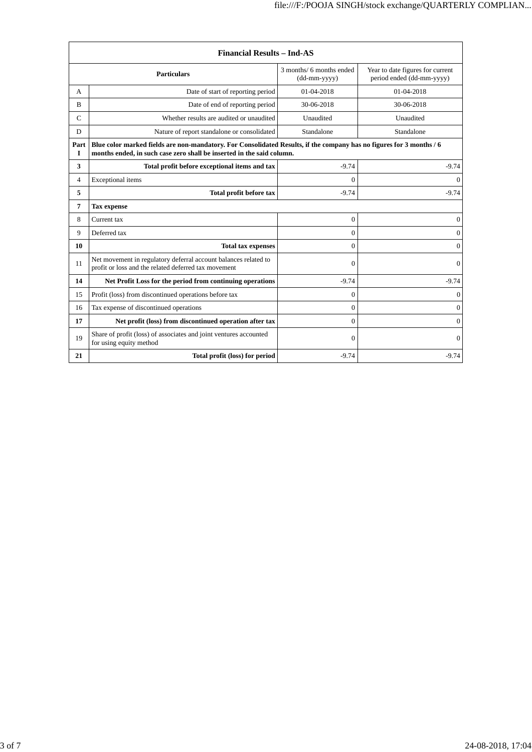| <b>Financial Results - Ind-AS</b>                              |                                                                                                                                                                                               |                                          |                                                               |  |
|----------------------------------------------------------------|-----------------------------------------------------------------------------------------------------------------------------------------------------------------------------------------------|------------------------------------------|---------------------------------------------------------------|--|
|                                                                | <b>Particulars</b>                                                                                                                                                                            | 3 months/ 6 months ended<br>(dd-mm-yyyy) | Year to date figures for current<br>period ended (dd-mm-yyyy) |  |
| A                                                              | Date of start of reporting period                                                                                                                                                             | 01-04-2018                               | 01-04-2018                                                    |  |
| B                                                              | Date of end of reporting period                                                                                                                                                               | 30-06-2018                               | 30-06-2018                                                    |  |
| $\mathcal{C}$                                                  | Whether results are audited or unaudited                                                                                                                                                      |                                          | Unaudited                                                     |  |
| Standalone<br>D<br>Nature of report standalone or consolidated |                                                                                                                                                                                               | Standalone                               |                                                               |  |
| Part<br>$\mathbf{I}$                                           | Blue color marked fields are non-mandatory. For Consolidated Results, if the company has no figures for 3 months / 6<br>months ended, in such case zero shall be inserted in the said column. |                                          |                                                               |  |
| 3                                                              | Total profit before exceptional items and tax                                                                                                                                                 | $-9.74$                                  | $-9.74$                                                       |  |
| 4<br>Exceptional items<br>$\mathbf{0}$                         |                                                                                                                                                                                               | $\Omega$                                 |                                                               |  |
| 5                                                              | Total profit before tax<br>$-9.74$                                                                                                                                                            |                                          | $-9.74$                                                       |  |
| 7                                                              | <b>Tax expense</b>                                                                                                                                                                            |                                          |                                                               |  |
| 8                                                              | Current tax                                                                                                                                                                                   |                                          | $\overline{0}$                                                |  |
| 9                                                              | Deferred tax                                                                                                                                                                                  | $\Omega$                                 | $\Omega$                                                      |  |
| 10                                                             | $\mathbf{0}$<br><b>Total tax expenses</b>                                                                                                                                                     |                                          | $\mathbf{0}$                                                  |  |
| 11                                                             | Net movement in regulatory deferral account balances related to<br>profit or loss and the related deferred tax movement                                                                       | $\mathbf{0}$                             | $\mathbf{0}$                                                  |  |
| 14                                                             | Net Profit Loss for the period from continuing operations                                                                                                                                     | $-9.74$                                  | $-9.74$                                                       |  |
| 15                                                             | Profit (loss) from discontinued operations before tax<br>0                                                                                                                                    |                                          | $\mathbf{0}$                                                  |  |
| 16                                                             | Tax expense of discontinued operations<br>$\boldsymbol{0}$                                                                                                                                    |                                          | $\overline{0}$                                                |  |
| 17                                                             | Net profit (loss) from discontinued operation after tax                                                                                                                                       | $\theta$<br>$\mathbf{0}$                 |                                                               |  |
| 19                                                             | Share of profit (loss) of associates and joint ventures accounted<br>for using equity method                                                                                                  | $\mathbf{0}$                             | $\mathbf{0}$                                                  |  |
| 21                                                             | $-9.74$<br>Total profit (loss) for period                                                                                                                                                     |                                          |                                                               |  |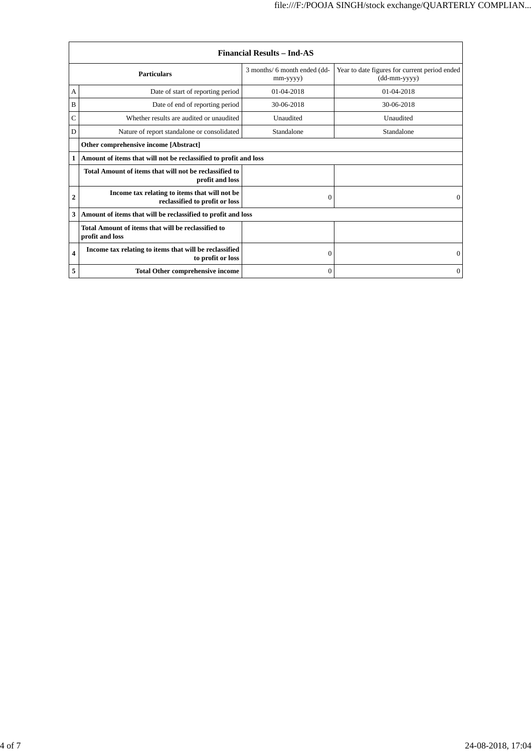| <b>Financial Results - Ind-AS</b> |                                                                                 |                                          |                                                                 |
|-----------------------------------|---------------------------------------------------------------------------------|------------------------------------------|-----------------------------------------------------------------|
|                                   | <b>Particulars</b>                                                              | 3 months/ 6 month ended (dd-<br>mm-yyyy) | Year to date figures for current period ended<br>$(dd-mm-yyyy)$ |
| А                                 | Date of start of reporting period                                               | $01-04-2018$                             | $01-04-2018$                                                    |
| B                                 | Date of end of reporting period                                                 | 30-06-2018                               | 30-06-2018                                                      |
| Ċ                                 | Whether results are audited or unaudited                                        | Unaudited                                | Unaudited                                                       |
| D                                 | Nature of report standalone or consolidated                                     | Standalone                               | Standalone                                                      |
|                                   | Other comprehensive income [Abstract]                                           |                                          |                                                                 |
|                                   | Amount of items that will not be reclassified to profit and loss                |                                          |                                                                 |
|                                   | Total Amount of items that will not be reclassified to<br>profit and loss       |                                          |                                                                 |
| $\mathbf{2}$                      | Income tax relating to items that will not be<br>reclassified to profit or loss | $\Omega$                                 | $\Omega$                                                        |
| 3                                 | Amount of items that will be reclassified to profit and loss                    |                                          |                                                                 |
|                                   | Total Amount of items that will be reclassified to<br>profit and loss           |                                          |                                                                 |
| $\overline{\mathbf{4}}$           | Income tax relating to items that will be reclassified<br>to profit or loss     | $\Omega$                                 | $\Omega$                                                        |
| 5                                 | <b>Total Other comprehensive income</b>                                         | $\mathbf{0}$                             | $\overline{0}$                                                  |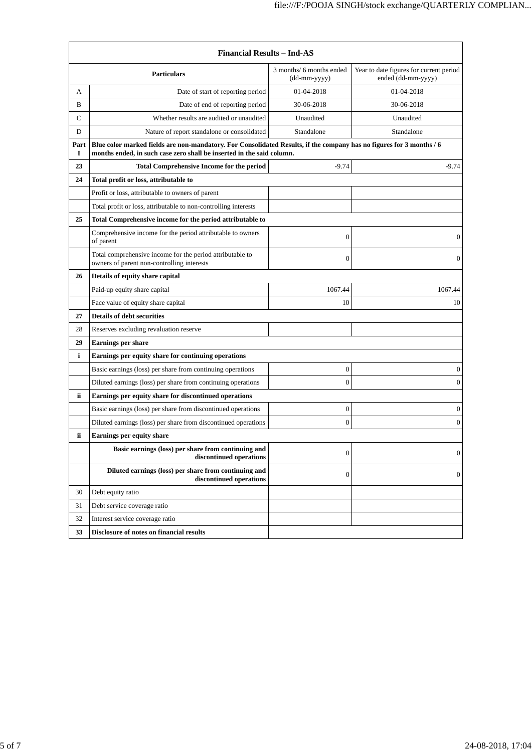| <b>Financial Results - Ind-AS</b> |                                                                                                                                                                                               |                                          |                                                               |
|-----------------------------------|-----------------------------------------------------------------------------------------------------------------------------------------------------------------------------------------------|------------------------------------------|---------------------------------------------------------------|
|                                   | <b>Particulars</b>                                                                                                                                                                            | 3 months/ 6 months ended<br>(dd-mm-yyyy) | Year to date figures for current period<br>ended (dd-mm-yyyy) |
| А                                 | Date of start of reporting period                                                                                                                                                             | 01-04-2018                               | 01-04-2018                                                    |
| B                                 | Date of end of reporting period                                                                                                                                                               | 30-06-2018                               | 30-06-2018                                                    |
| C                                 | Whether results are audited or unaudited                                                                                                                                                      | Unaudited                                | Unaudited                                                     |
| D                                 | Nature of report standalone or consolidated                                                                                                                                                   | Standalone                               | Standalone                                                    |
| Part<br>1                         | Blue color marked fields are non-mandatory. For Consolidated Results, if the company has no figures for 3 months / 6<br>months ended, in such case zero shall be inserted in the said column. |                                          |                                                               |
| 23                                | <b>Total Comprehensive Income for the period</b>                                                                                                                                              | $-9.74$                                  | $-9.74$                                                       |
| 24                                | Total profit or loss, attributable to                                                                                                                                                         |                                          |                                                               |
|                                   | Profit or loss, attributable to owners of parent                                                                                                                                              |                                          |                                                               |
|                                   | Total profit or loss, attributable to non-controlling interests                                                                                                                               |                                          |                                                               |
| 25                                | Total Comprehensive income for the period attributable to                                                                                                                                     |                                          |                                                               |
|                                   | Comprehensive income for the period attributable to owners<br>of parent                                                                                                                       | $\mathbf{0}$                             | $\mathbf{0}$                                                  |
|                                   | Total comprehensive income for the period attributable to<br>owners of parent non-controlling interests                                                                                       | $\mathbf{0}$                             | $\boldsymbol{0}$                                              |
| 26                                | Details of equity share capital                                                                                                                                                               |                                          |                                                               |
|                                   | Paid-up equity share capital                                                                                                                                                                  | 1067.44                                  | 1067.44                                                       |
|                                   | Face value of equity share capital                                                                                                                                                            | 10                                       | 10                                                            |
| 27                                | <b>Details of debt securities</b>                                                                                                                                                             |                                          |                                                               |
| 28                                | Reserves excluding revaluation reserve                                                                                                                                                        |                                          |                                                               |
| 29                                | Earnings per share                                                                                                                                                                            |                                          |                                                               |
| i                                 | Earnings per equity share for continuing operations                                                                                                                                           |                                          |                                                               |
|                                   | Basic earnings (loss) per share from continuing operations                                                                                                                                    | $\boldsymbol{0}$                         | 0                                                             |
|                                   | Diluted earnings (loss) per share from continuing operations                                                                                                                                  | $\mathbf{0}$                             | $\boldsymbol{0}$                                              |
| ii                                | Earnings per equity share for discontinued operations                                                                                                                                         |                                          |                                                               |
|                                   | Basic earnings (loss) per share from discontinued operations                                                                                                                                  | $\boldsymbol{0}$                         | $\boldsymbol{0}$                                              |
|                                   | Diluted earnings (loss) per share from discontinued operations                                                                                                                                | $\mathbf{0}$                             | $\boldsymbol{0}$                                              |
| ii                                | Earnings per equity share                                                                                                                                                                     |                                          |                                                               |
|                                   | Basic earnings (loss) per share from continuing and<br>discontinued operations                                                                                                                | $\boldsymbol{0}$                         | $\boldsymbol{0}$                                              |
|                                   | Diluted earnings (loss) per share from continuing and<br>discontinued operations                                                                                                              | $\boldsymbol{0}$                         | $\boldsymbol{0}$                                              |
| 30                                | Debt equity ratio                                                                                                                                                                             |                                          |                                                               |
| 31                                | Debt service coverage ratio                                                                                                                                                                   |                                          |                                                               |
| 32                                | Interest service coverage ratio                                                                                                                                                               |                                          |                                                               |
| 33                                | Disclosure of notes on financial results                                                                                                                                                      |                                          |                                                               |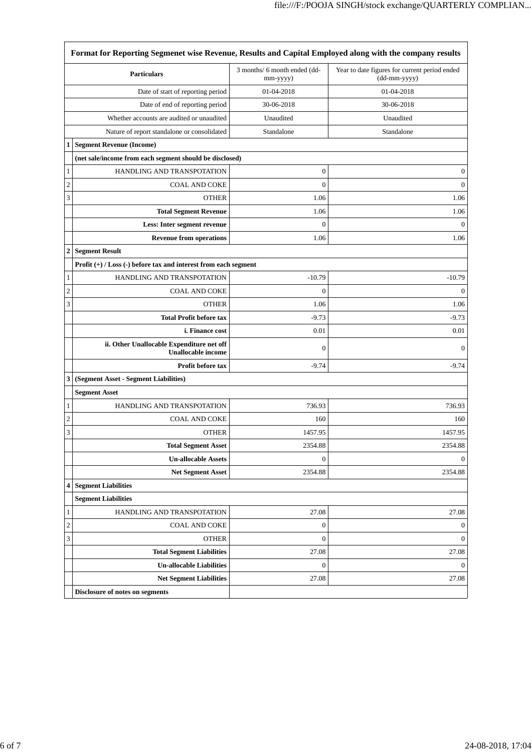| Format for Reporting Segmenet wise Revenue, Results and Capital Employed along with the company results |                                                                        |                                          |                                                               |
|---------------------------------------------------------------------------------------------------------|------------------------------------------------------------------------|------------------------------------------|---------------------------------------------------------------|
|                                                                                                         | <b>Particulars</b>                                                     | 3 months/ 6 month ended (dd-<br>mm-yyyy) | Year to date figures for current period ended<br>(dd-mm-yyyy) |
|                                                                                                         | Date of start of reporting period                                      | 01-04-2018                               | 01-04-2018                                                    |
|                                                                                                         | Date of end of reporting period                                        | 30-06-2018                               | 30-06-2018                                                    |
|                                                                                                         | Whether accounts are audited or unaudited                              | Unaudited                                | Unaudited                                                     |
|                                                                                                         | Nature of report standalone or consolidated                            | Standalone                               | Standalone                                                    |
| $\mathbf{1}$                                                                                            | <b>Segment Revenue (Income)</b>                                        |                                          |                                                               |
|                                                                                                         | (net sale/income from each segment should be disclosed)                |                                          |                                                               |
| 1                                                                                                       | HANDLING AND TRANSPOTATION                                             | $\boldsymbol{0}$                         | $\boldsymbol{0}$                                              |
| $\overline{c}$                                                                                          | <b>COAL AND COKE</b>                                                   | $\mathbf{0}$                             | $\boldsymbol{0}$                                              |
| 3                                                                                                       | <b>OTHER</b>                                                           | 1.06                                     | 1.06                                                          |
|                                                                                                         | <b>Total Segment Revenue</b>                                           | 1.06                                     | 1.06                                                          |
|                                                                                                         | Less: Inter segment revenue                                            | $\boldsymbol{0}$                         | $\mathbf{0}$                                                  |
|                                                                                                         | <b>Revenue from operations</b>                                         | 1.06                                     | 1.06                                                          |
| 2                                                                                                       | <b>Segment Result</b>                                                  |                                          |                                                               |
|                                                                                                         | Profit $(+)$ / Loss $(-)$ before tax and interest from each segment    |                                          |                                                               |
| 1                                                                                                       | HANDLING AND TRANSPOTATION                                             | $-10.79$                                 | $-10.79$                                                      |
| $\overline{\mathbf{c}}$                                                                                 | <b>COAL AND COKE</b>                                                   | $\mathbf{0}$                             | $\theta$                                                      |
| 3                                                                                                       | <b>OTHER</b>                                                           | 1.06                                     | 1.06                                                          |
|                                                                                                         | <b>Total Profit before tax</b>                                         | $-9.73$                                  | $-9.73$                                                       |
|                                                                                                         | i. Finance cost                                                        | 0.01                                     | 0.01                                                          |
|                                                                                                         | ii. Other Unallocable Expenditure net off<br><b>Unallocable income</b> | $\overline{0}$                           | $\boldsymbol{0}$                                              |
|                                                                                                         | Profit before tax                                                      | $-9.74$                                  | $-9.74$                                                       |
| 3                                                                                                       | (Segment Asset - Segment Liabilities)                                  |                                          |                                                               |
|                                                                                                         | <b>Segment Asset</b>                                                   |                                          |                                                               |
| 1                                                                                                       | HANDLING AND TRANSPOTATION                                             | 736.93                                   | 736.93                                                        |
| $\overline{c}$                                                                                          | <b>COAL AND COKE</b>                                                   | 160                                      | 160                                                           |
| 3                                                                                                       | <b>OTHER</b>                                                           | 1457.95                                  | 1457.95                                                       |
|                                                                                                         | <b>Total Segment Asset</b>                                             | 2354.88                                  | 2354.88                                                       |
|                                                                                                         | <b>Un-allocable Assets</b>                                             | $\mathbf{0}$                             | $\mathbf{0}$                                                  |
|                                                                                                         | <b>Net Segment Asset</b>                                               | 2354.88                                  | 2354.88                                                       |
| 4                                                                                                       | <b>Segment Liabilities</b>                                             |                                          |                                                               |
|                                                                                                         | <b>Segment Liabilities</b>                                             |                                          |                                                               |
| 1                                                                                                       | HANDLING AND TRANSPOTATION                                             | 27.08                                    | 27.08                                                         |
| $\overline{c}$                                                                                          | <b>COAL AND COKE</b>                                                   | $\boldsymbol{0}$                         | $\bf{0}$                                                      |
| 3                                                                                                       | <b>OTHER</b>                                                           | $\boldsymbol{0}$                         | $\mathbf{0}$                                                  |
|                                                                                                         | <b>Total Segment Liabilities</b>                                       | 27.08                                    | 27.08                                                         |
|                                                                                                         | <b>Un-allocable Liabilities</b>                                        | $\boldsymbol{0}$                         | $\mathbf{0}$                                                  |
|                                                                                                         | <b>Net Segment Liabilities</b>                                         | 27.08                                    | 27.08                                                         |
|                                                                                                         | Disclosure of notes on segments                                        |                                          |                                                               |